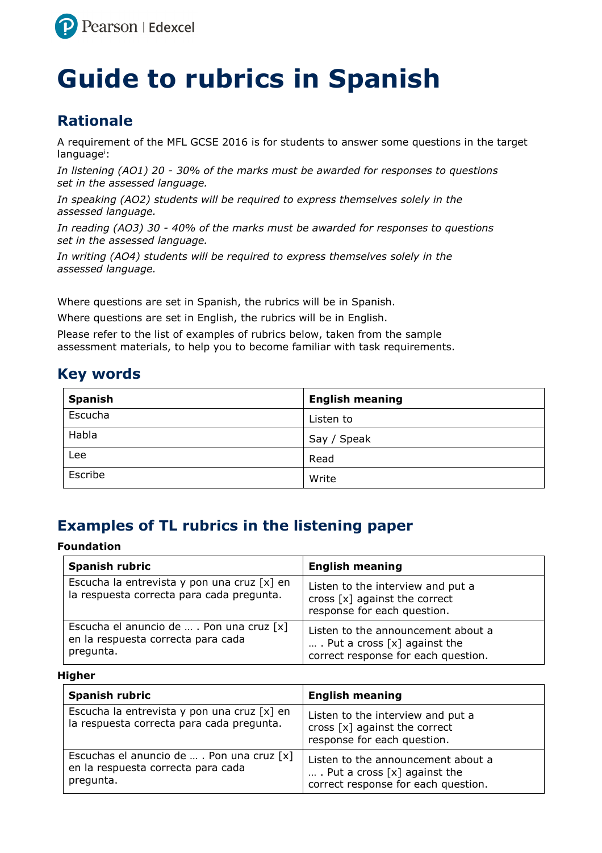

# **Guide to rubrics in Spanish**

### **Rationale**

A requirement of the MFL GCSE 2016 is for students to answer some questions in the target language<sup>i</sup>:

*In listening (AO1) 20 - 30% of the marks must be awarded for responses to questions set in the assessed language.* 

*In speaking (AO2) students will be required to express themselves solely in the assessed language.* 

*In reading (AO3) 30 - 40% of the marks must be awarded for responses to questions set in the assessed language.* 

*In writing (AO4) students will be required to express themselves solely in the assessed language.* 

Where questions are set in Spanish, the rubrics will be in Spanish.

Where questions are set in English, the rubrics will be in English.

Please refer to the list of examples of rubrics below, taken from the sample assessment materials, to help you to become familiar with task requirements.

### **Key words**

| <b>Spanish</b> | <b>English meaning</b> |
|----------------|------------------------|
| Escucha        | Listen to              |
| Habla          | Say / Speak            |
| Lee            | Read                   |
| Escribe        | Write                  |

### **Examples of TL rubrics in the listening paper**

#### **Foundation**

| <b>Spanish rubric</b>                                                                          | <b>English meaning</b>                                                                                       |
|------------------------------------------------------------------------------------------------|--------------------------------------------------------------------------------------------------------------|
| Escucha la entrevista y pon una cruz [x] en<br>la respuesta correcta para cada pregunta.       | Listen to the interview and put a<br>cross $[x]$ against the correct<br>response for each question.          |
| Escucha el anuncio de  . Pon una cruz $[x]$<br>en la respuesta correcta para cada<br>pregunta. | Listen to the announcement about a<br>. Put a cross $[x]$ against the<br>correct response for each question. |

| <b>Spanish rubric</b>                                                                         | <b>English meaning</b>                                                                                       |
|-----------------------------------------------------------------------------------------------|--------------------------------------------------------------------------------------------------------------|
| Escucha la entrevista y pon una cruz [x] en<br>la respuesta correcta para cada pregunta.      | Listen to the interview and put a<br>cross [x] against the correct<br>response for each question.            |
| Escuchas el anuncio de  . Pon una cruz [x]<br>en la respuesta correcta para cada<br>pregunta. | Listen to the announcement about a<br>. Put a cross $[x]$ against the<br>correct response for each question. |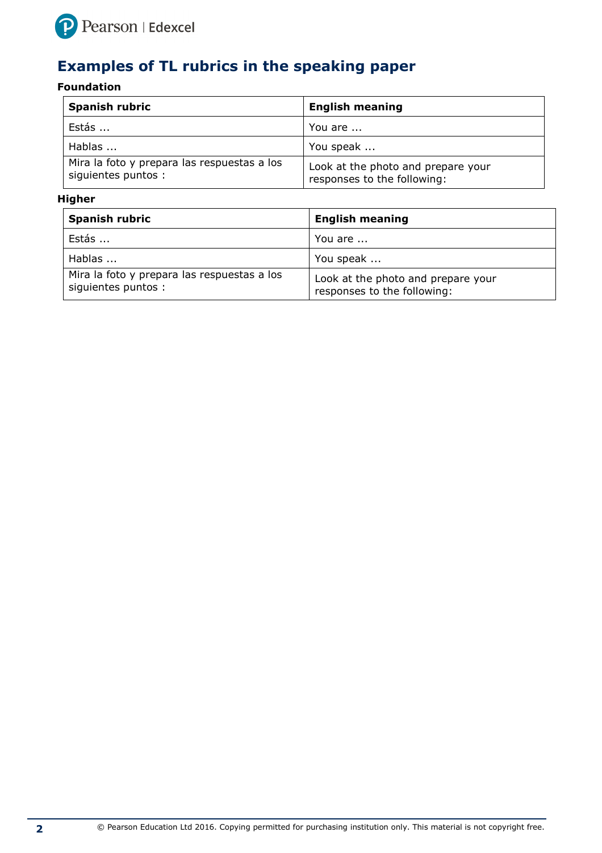

# **Examples of TL rubrics in the speaking paper**

#### **Foundation**

| <b>Spanish rubric</b>                                              | <b>English meaning</b>                                            |
|--------------------------------------------------------------------|-------------------------------------------------------------------|
| Estás                                                              | You are                                                           |
| Hablas                                                             | You speak                                                         |
| Mira la foto y prepara las respuestas a los<br>siguientes puntos : | Look at the photo and prepare your<br>responses to the following: |

| <b>Spanish rubric</b>                                              | <b>English meaning</b>                                            |
|--------------------------------------------------------------------|-------------------------------------------------------------------|
| Estás                                                              | You are                                                           |
| Hablas                                                             | You speak                                                         |
| Mira la foto y prepara las respuestas a los<br>siguientes puntos : | Look at the photo and prepare your<br>responses to the following: |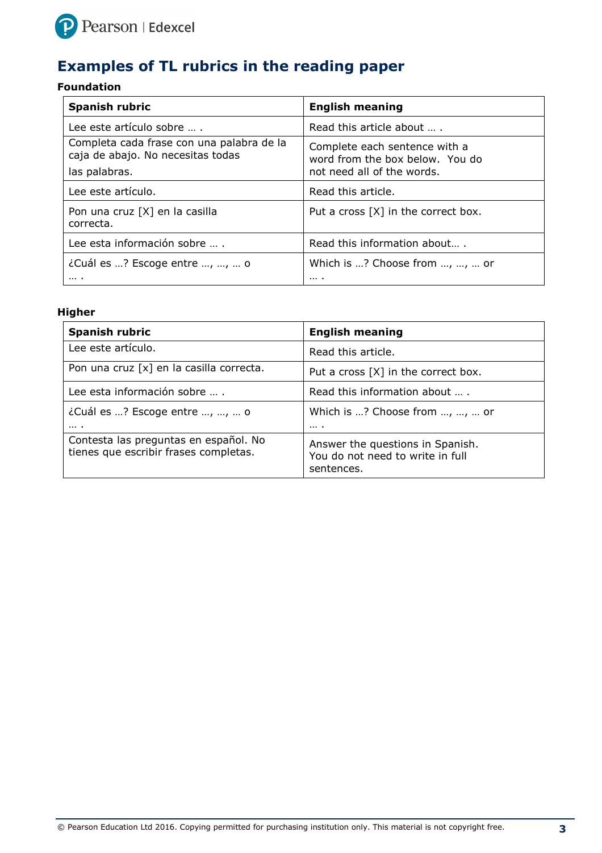

# **Examples of TL rubrics in the reading paper**

#### **Foundation**

| <b>Spanish rubric</b>                                                          | <b>English meaning</b>                                           |
|--------------------------------------------------------------------------------|------------------------------------------------------------------|
| Lee este artículo sobre                                                        | Read this article about                                          |
| Completa cada frase con una palabra de la<br>caja de abajo. No necesitas todas | Complete each sentence with a<br>word from the box below. You do |
| las palabras.                                                                  | not need all of the words.                                       |
| Lee este artículo.                                                             | Read this article.                                               |
| Pon una cruz [X] en la casilla<br>correcta.                                    | Put a cross $[X]$ in the correct box.                            |
| Lee esta información sobre                                                     | Read this information about                                      |
| ¿Cuál es ? Escoge entre , ,  o                                                 | Which is ? Choose from , ,  or                                   |
| $\cdots$                                                                       | .                                                                |

| <b>Spanish rubric</b>                                                          | <b>English meaning</b>                                                             |
|--------------------------------------------------------------------------------|------------------------------------------------------------------------------------|
| Lee este artículo.                                                             | Read this article.                                                                 |
| Pon una cruz [x] en la casilla correcta.                                       | Put a cross [X] in the correct box.                                                |
| Lee esta información sobre                                                     | Read this information about                                                        |
| ¿Cuál es ? Escoge entre , ,  o                                                 | Which is ? Choose from , ,  or                                                     |
| $\cdots$                                                                       | $\cdots$                                                                           |
| Contesta las preguntas en español. No<br>tienes que escribir frases completas. | Answer the questions in Spanish.<br>You do not need to write in full<br>sentences. |